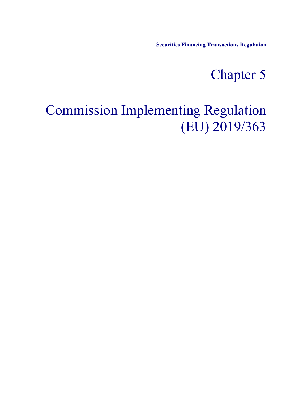**Securities Financing Transactions Regulation**

## Chapter 5

## Commission Implementing Regulation (EU) 2019/363